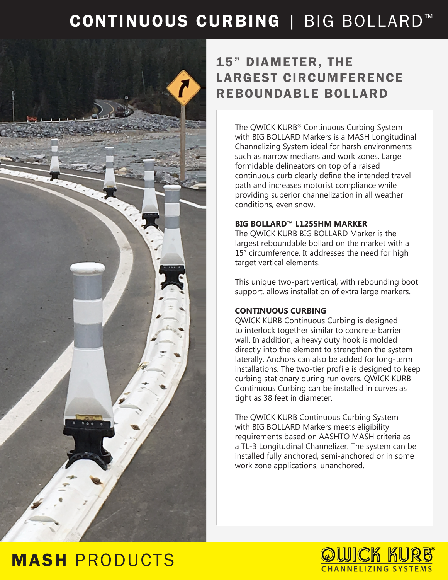## CONTINUOUS CURBING | BIG BOLLARD<sup>™</sup>



## 15" DIAMETER, THE LARGEST CIRCUMFERENCE REBOUNDABLE BOLLARD

The QWICK KURB® Continuous Curbing System with BIG BOLLARD Markers is a MASH Longitudinal Channelizing System ideal for harsh environments such as narrow medians and work zones. Large formidable delineators on top of a raised continuous curb clearly define the intended travel path and increases motorist compliance while providing superior channelization in all weather conditions, even snow.

### **BIG BOLLARD™ L125SHM MARKER**

The QWICK KURB BIG BOLLARD Marker is the largest reboundable bollard on the market with a 15" circumference. It addresses the need for high target vertical elements.

This unique two-part vertical, with rebounding boot support, allows installation of extra large markers.

### **CONTINUOUS CURBING**

QWICK KURB Continuous Curbing is designed to interlock together similar to concrete barrier wall. In addition, a heavy duty hook is molded directly into the element to strengthen the system laterally. Anchors can also be added for long-term installations. The two-tier profile is designed to keep curbing stationary during run overs. QWICK KURB Continuous Curbing can be installed in curves as tight as 38 feet in diameter.

The QWICK KURB Continuous Curbing System with BIG BOLLARD Markers meets eligibility requirements based on AASHTO MASH criteria as a TL-3 Longitudinal Channelizer. The system can be installed fully anchored, semi-anchored or in some work zone applications, unanchored.

## MASH PRODUCTS